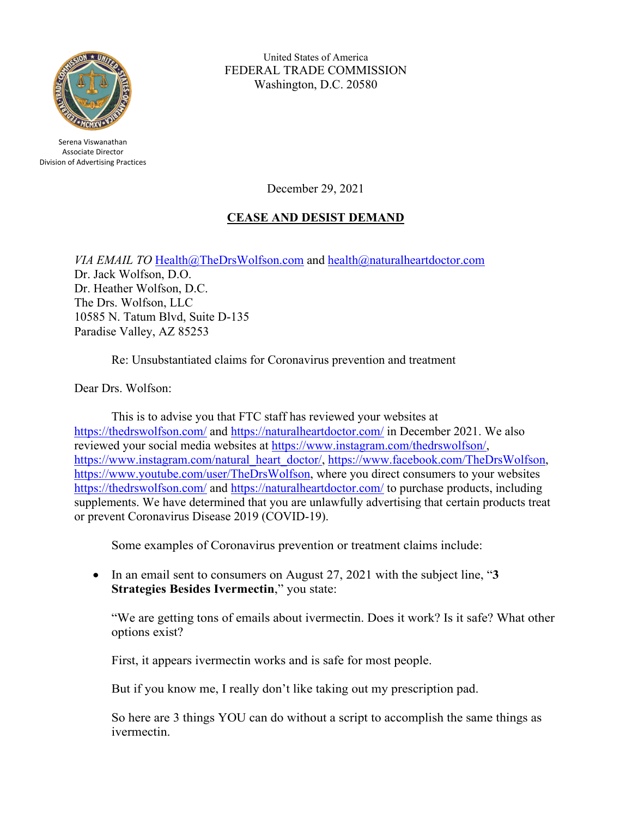

United States of America FEDERAL TRADE COMMISSION Washington, D.C. 20580

Serena Viswanathan Associate Director Division of Advertising Practices

December 29, 2021

# **CEASE AND DESIST DEMAND**

*VIA EMAIL TO* [Health@TheDrsWolfson.com](mailto:Health@TheDrsWolfson.com) and [health@naturalheartdoctor.com](mailto:health@naturalheartdoctor.com) Dr. Jack Wolfson, D.O. Dr. Heather Wolfson, D.C. The Drs. Wolfson, LLC 10585 N. Tatum Blvd, Suite D-135 Paradise Valley, AZ 85253

Re: Unsubstantiated claims for Coronavirus prevention and treatment

Dear Drs. Wolfson:

This is to advise you that FTC staff has reviewed your websites at <https://thedrswolfson.com/> and<https://naturalheartdoctor.com/> in December 2021. We also reviewed your social media websites at [https://www.instagram.com/thedrswolfson/,](https://www.instagram.com/thedrswolfson/) [https://www.instagram.com/natural\\_heart\\_doctor/,](https://www.instagram.com/natural_heart_doctor/) [https://www.facebook.com/TheDrsWolfson,](https://www.facebook.com/TheDrsWolfson) [https://www.youtube.com/user/TheDrsWolfson,](https://www.youtube.com/user/TheDrsWolfson) where you direct consumers to your websites <https://thedrswolfson.com/> and<https://naturalheartdoctor.com/> to purchase products, including supplements. We have determined that you are unlawfully advertising that certain products treat or prevent Coronavirus Disease 2019 (COVID-19).

Some examples of Coronavirus prevention or treatment claims include:

• In an email sent to consumers on August 27, 2021 with the subject line, "**3 Strategies Besides Ivermectin**," you state:

"We are getting tons of emails about ivermectin. Does it work? Is it safe? What other options exist?

First, it appears ivermectin works and is safe for most people.

But if you know me, I really don't like taking out my prescription pad.

So here are 3 things YOU can do without a script to accomplish the same things as ivermectin.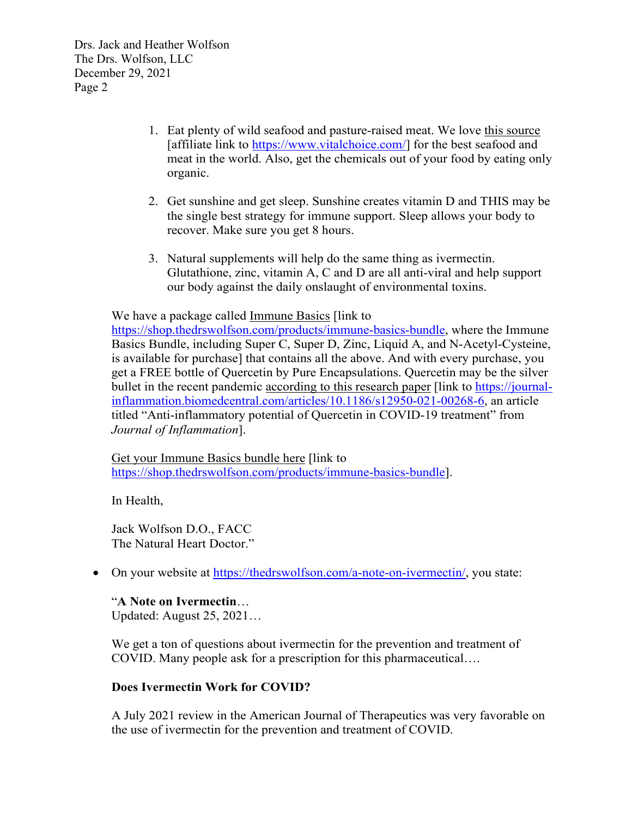- 1. Eat plenty of wild seafood and pasture-raised meat. We love this source [affiliate link to [https://www.vitalchoice.com/\]](https://www.vitalchoice.com/) for the best seafood and meat in the world. Also, get the chemicals out of your food by eating only organic.
- 2. Get sunshine and get sleep. Sunshine creates vitamin D and THIS may be the single best strategy for immune support. Sleep allows your body to recover. Make sure you get 8 hours.
- 3. Natural supplements will help do the same thing as ivermectin. Glutathione, zinc, vitamin A, C and D are all anti-viral and help support our body against the daily onslaught of environmental toxins.

We have a package called Immune Basics [link to

[https://shop.thedrswolfson.com/products/immune-basics-bundle,](https://shop.thedrswolfson.com/products/immune-basics-bundle) where the Immune Basics Bundle, including Super C, Super D, Zinc, Liquid A, and N-Acetyl-Cysteine, is available for purchase] that contains all the above. And with every purchase, you get a FREE bottle of Quercetin by Pure Encapsulations. Quercetin may be the silver bullet in the recent pandemic according to this research paper [link to [https://journal](https://journal-inflammation.biomedcentral.com/articles/10.1186/s12950-021-00268-6)[inflammation.biomedcentral.com/articles/10.1186/s12950-021-00268-6,](https://journal-inflammation.biomedcentral.com/articles/10.1186/s12950-021-00268-6) an article titled "Anti-inflammatory potential of Quercetin in COVID-19 treatment" from *Journal of Inflammation*].

Get your Immune Basics bundle here [link to [https://shop.thedrswolfson.com/products/immune-basics-bundle\]](https://shop.thedrswolfson.com/products/immune-basics-bundle).

In Health,

Jack Wolfson D.O., FACC The Natural Heart Doctor."

• On your website at [https://thedrswolfson.com/a-note-on-ivermectin/,](https://thedrswolfson.com/a-note-on-ivermectin/) you state:

# "**A Note on Ivermectin**…

Updated: August 25, 2021…

We get a ton of questions about ivermectin for the prevention and treatment of COVID. Many people ask for a prescription for this pharmaceutical….

# **Does Ivermectin Work for COVID?**

A July 2021 review in the American Journal of Therapeutics was very favorable on the use of ivermectin for the prevention and treatment of COVID.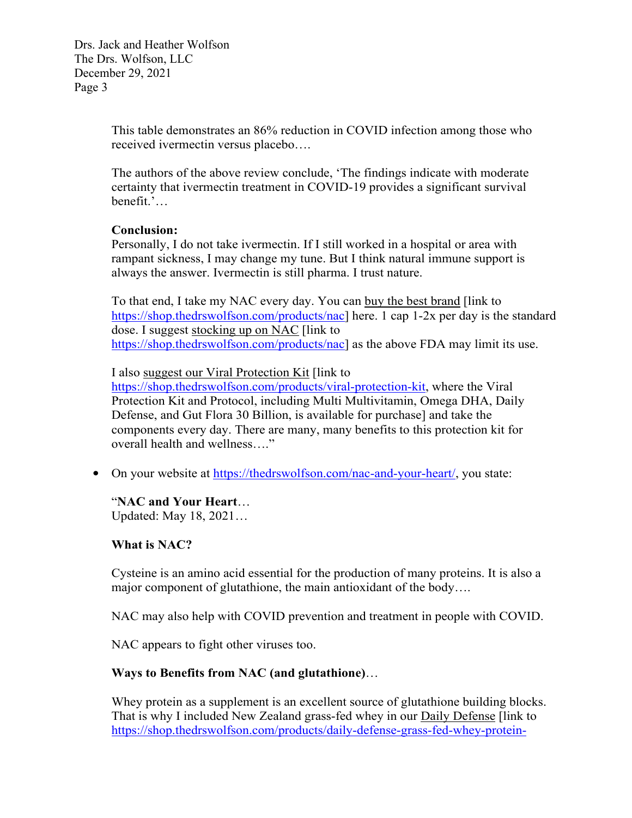> This table demonstrates an 86% reduction in COVID infection among those who received ivermectin versus placebo….

> The authors of the above review conclude, 'The findings indicate with moderate certainty that ivermectin treatment in COVID-19 provides a significant survival benefit.'…

#### **Conclusion:**

Personally, I do not take ivermectin. If I still worked in a hospital or area with rampant sickness, I may change my tune. But I think natural immune support is always the answer. Ivermectin is still pharma. I trust nature.

To that end, I take my NAC every day. You can buy the best brand [link to [https://shop.thedrswolfson.com/products/nac\]](https://shop.thedrswolfson.com/products/nac) here. 1 cap 1-2x per day is the standard dose. I suggest stocking up on NAC [link to [https://shop.thedrswolfson.com/products/nac\]](https://shop.thedrswolfson.com/products/nac) as the above FDA may limit its use.

I also suggest our Viral Protection Kit [link to

[https://shop.thedrswolfson.com/products/viral-protection-kit,](https://shop.thedrswolfson.com/products/viral-protection-kit) where the Viral Protection Kit and Protocol, including Multi Multivitamin, Omega DHA, Daily Defense, and Gut Flora 30 Billion, is available for purchase] and take the components every day. There are many, many benefits to this protection kit for overall health and wellness…."

• On your website at [https://thedrswolfson.com/nac-and-your-heart/,](https://thedrswolfson.com/nac-and-your-heart/) you state:

#### "**NAC and Your Heart**…

Updated: May 18, 2021…

# **What is NAC?**

Cysteine is an amino acid essential for the production of many proteins. It is also a major component of glutathione, the main antioxidant of the body….

NAC may also help with COVID prevention and treatment in people with COVID.

NAC appears to fight other viruses too.

# **Ways to Benefits from NAC (and glutathione)**…

Whey protein as a supplement is an excellent source of glutathione building blocks. That is why I included New Zealand grass-fed whey in our Daily Defense [link to [https://shop.thedrswolfson.com/products/daily-defense-grass-fed-whey-protein-](https://shop.thedrswolfson.com/products/daily-defense-grass-fed-whey-protein-shake)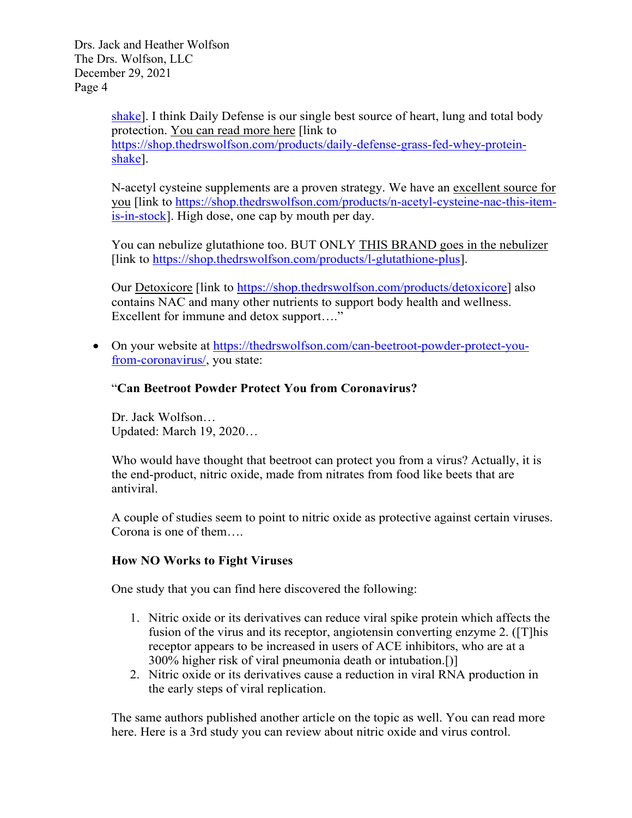> [shake\]](https://shop.thedrswolfson.com/products/daily-defense-grass-fed-whey-protein-shake). I think Daily Defense is our single best source of heart, lung and total body protection. You can read more here [link to [https://shop.thedrswolfson.com/products/daily-defense-grass-fed-whey-protein](https://shop.thedrswolfson.com/products/daily-defense-grass-fed-whey-protein-shake)[shake\]](https://shop.thedrswolfson.com/products/daily-defense-grass-fed-whey-protein-shake).

N-acetyl cysteine supplements are a proven strategy. We have an excellent source for you [link to [https://shop.thedrswolfson.com/products/n-acetyl-cysteine-nac-this-item](https://shop.thedrswolfson.com/products/n-acetyl-cysteine-nac-this-item-is-in-stock) $is-in-stock$ ]. High dose, one cap by mouth per day.

You can nebulize glutathione too. BUT ONLY THIS BRAND goes in the nebulizer [link to [https://shop.thedrswolfson.com/products/l-glutathione-plus\]](https://shop.thedrswolfson.com/products/l-glutathione-plus).

Our Detoxicore [link to [https://shop.thedrswolfson.com/products/detoxicore\]](https://shop.thedrswolfson.com/products/detoxicore) also contains NAC and many other nutrients to support body health and wellness. Excellent for immune and detox support...."

• On your website at [https://thedrswolfson.com/can-beetroot-powder-protect-you](https://thedrswolfson.com/can-beetroot-powder-protect-you-from-coronavirus/)[from-coronavirus/,](https://thedrswolfson.com/can-beetroot-powder-protect-you-from-coronavirus/) you state:

#### "**Can Beetroot Powder Protect You from Coronavirus?**

Dr. Jack Wolfson… Updated: March 19, 2020…

Who would have thought that beetroot can protect you from a virus? Actually, it is the end-product, nitric oxide, made from nitrates from food like beets that are antiviral.

A couple of studies seem to point to nitric oxide as protective against certain viruses. Corona is one of them….

#### **How NO Works to Fight Viruses**

One study that you can find here discovered the following:

- 1. Nitric oxide or its derivatives can reduce viral spike protein which affects the fusion of the virus and its receptor, angiotensin converting enzyme 2. ([T]his receptor appears to be increased in users of ACE inhibitors, who are at a 300% higher risk of viral pneumonia death or intubation.[)]
- 2. Nitric oxide or its derivatives cause a reduction in viral RNA production in the early steps of viral replication.

The same authors published another article on the topic as well. You can read more here. Here is a 3rd study you can review about nitric oxide and virus control.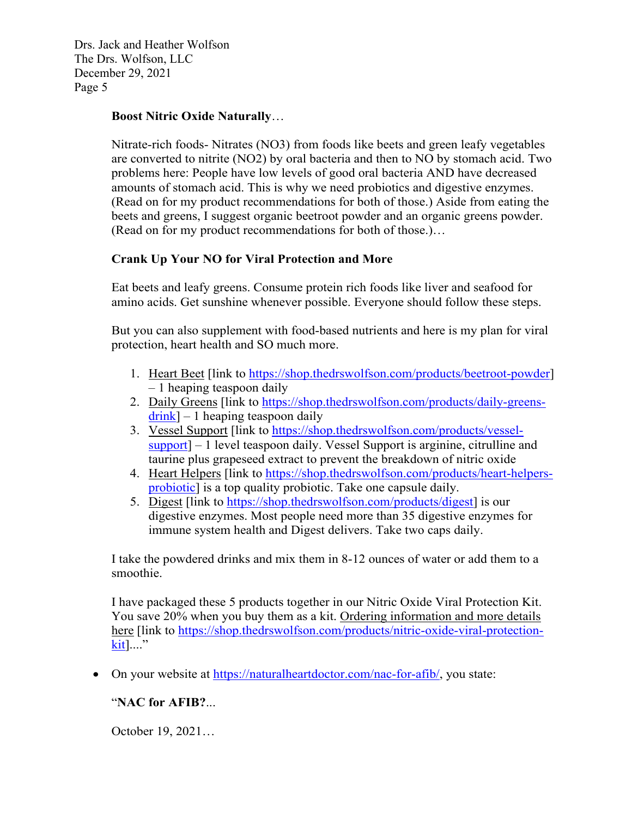#### **Boost Nitric Oxide Naturally**…

Nitrate-rich foods- Nitrates (NO3) from foods like beets and green leafy vegetables are converted to nitrite (NO2) by oral bacteria and then to NO by stomach acid. Two problems here: People have low levels of good oral bacteria AND have decreased amounts of stomach acid. This is why we need probiotics and digestive enzymes. (Read on for my product recommendations for both of those.) Aside from eating the beets and greens, I suggest organic beetroot powder and an organic greens powder. (Read on for my product recommendations for both of those.)…

# **Crank Up Your NO for Viral Protection and More**

Eat beets and leafy greens. Consume protein rich foods like liver and seafood for amino acids. Get sunshine whenever possible. Everyone should follow these steps.

But you can also supplement with food-based nutrients and here is my plan for viral protection, heart health and SO much more.

- 1. Heart Beet [link to [https://shop.thedrswolfson.com/products/beetroot-powder\]](https://shop.thedrswolfson.com/products/beetroot-powder) – 1 heaping teaspoon daily
- 2. Daily Greens [link to [https://shop.thedrswolfson.com/products/daily-greens](https://shop.thedrswolfson.com/products/daily-greens-drink) $drink$ ] – 1 heaping teaspoon daily
- 3. Vessel Support [link to [https://shop.thedrswolfson.com/products/vessel](https://shop.thedrswolfson.com/products/vessel-support)[support\]](https://shop.thedrswolfson.com/products/vessel-support) – 1 level teaspoon daily. Vessel Support is arginine, citrulline and taurine plus grapeseed extract to prevent the breakdown of nitric oxide
- 4. Heart Helpers [link to [https://shop.thedrswolfson.com/products/heart-helpers](https://shop.thedrswolfson.com/products/heart-helpers-probiotic)[probiotic\]](https://shop.thedrswolfson.com/products/heart-helpers-probiotic) is a top quality probiotic. Take one capsule daily.
- 5. Digest [link to [https://shop.thedrswolfson.com/products/digest\]](https://shop.thedrswolfson.com/products/digest) is our digestive enzymes. Most people need more than 35 digestive enzymes for immune system health and Digest delivers. Take two caps daily.

I take the powdered drinks and mix them in 8-12 ounces of water or add them to a smoothie.

I have packaged these 5 products together in our Nitric Oxide Viral Protection Kit. You save 20% when you buy them as a kit. Ordering information and more details here [link to [https://shop.thedrswolfson.com/products/nitric-oxide-viral-protection](https://shop.thedrswolfson.com/products/nitric-oxide-viral-protection-kit)[kit\]](https://shop.thedrswolfson.com/products/nitric-oxide-viral-protection-kit)...."

• On your website at [https://naturalheartdoctor.com/nac-for-afib/,](https://naturalheartdoctor.com/nac-for-afib/) you state:

# "**NAC for AFIB?**...

October 19, 2021…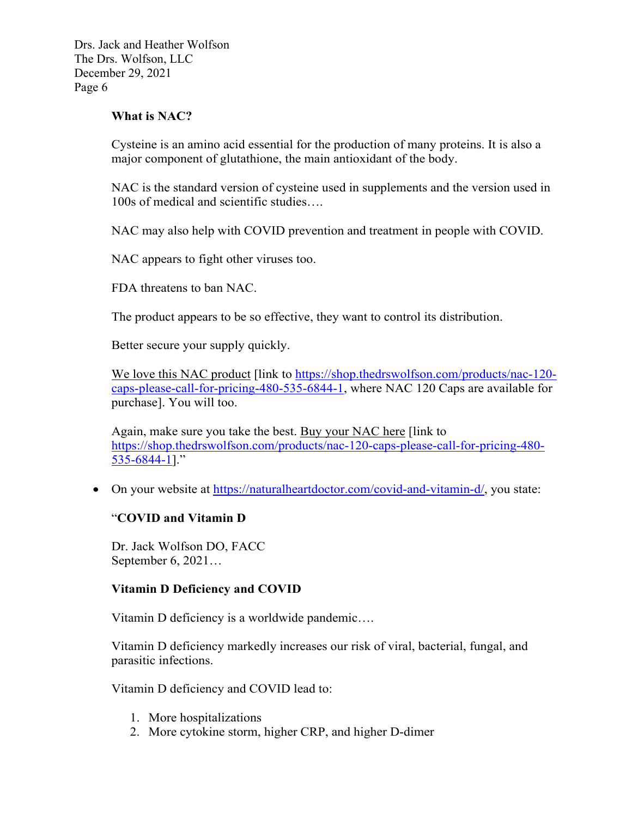#### **What is NAC?**

Cysteine is an amino acid essential for the production of many proteins. It is also a major component of glutathione, the main antioxidant of the body.

NAC is the standard version of cysteine used in supplements and the version used in 100s of medical and scientific studies….

NAC may also help with COVID prevention and treatment in people with COVID.

NAC appears to fight other viruses too.

FDA threatens to ban NAC.

The product appears to be so effective, they want to control its distribution.

Better secure your supply quickly.

We love this NAC product [link to [https://shop.thedrswolfson.com/products/nac-120](https://shop.thedrswolfson.com/products/nac-120-caps-please-call-for-pricing-480-535-6844-1t) [caps-please-call-for-pricing-480-535-6844-1,](https://shop.thedrswolfson.com/products/nac-120-caps-please-call-for-pricing-480-535-6844-1t) where NAC 120 Caps are available for purchase]. You will too.

Again, make sure you take the best. Buy your NAC here [link to [https://shop.thedrswolfson.com/products/nac-120-caps-please-call-for-pricing-480-](https://shop.thedrswolfson.com/products/nac-120-caps-please-call-for-pricing-480-535-6844-1) [535-6844-1\]](https://shop.thedrswolfson.com/products/nac-120-caps-please-call-for-pricing-480-535-6844-1)."

• On your website at [https://naturalheartdoctor.com/covid-and-vitamin-d/,](https://naturalheartdoctor.com/covid-and-vitamin-d/) you state:

#### "**COVID and Vitamin D**

Dr. Jack Wolfson DO, FACC September 6, 2021…

# **Vitamin D Deficiency and COVID**

Vitamin D deficiency is a worldwide pandemic….

Vitamin D deficiency markedly increases our risk of viral, bacterial, fungal, and parasitic infections.

Vitamin D deficiency and COVID lead to:

- 1. More hospitalizations
- 2. More cytokine storm, higher CRP, and higher D-dimer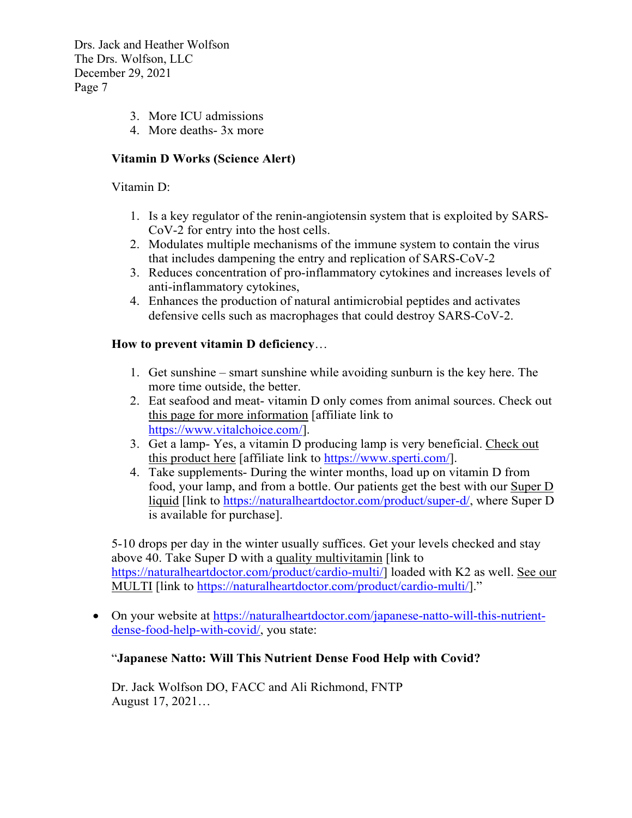- 3. More ICU admissions
- 4. More deaths- 3x more

### **Vitamin D Works (Science Alert)**

Vitamin D:

- 1. Is a key regulator of the renin-angiotensin system that is exploited by SARS-CoV-2 for entry into the host cells.
- 2. Modulates multiple mechanisms of the immune system to contain the virus that includes dampening the entry and replication of SARS-CoV-2
- 3. Reduces concentration of pro-inflammatory cytokines and increases levels of anti-inflammatory cytokines,
- 4. Enhances the production of natural antimicrobial peptides and activates defensive cells such as macrophages that could destroy SARS-CoV-2.

#### **How to prevent vitamin D deficiency**…

- 1. Get sunshine smart sunshine while avoiding sunburn is the key here. The more time outside, the better.
- 2. Eat seafood and meat- vitamin D only comes from animal sources. Check out this page for more information [affiliate link to [https://www.vitalchoice.com/\]](https://www.vitalchoice.com/).
- 3. Get a lamp- Yes, a vitamin D producing lamp is very beneficial. Check out this product here [affiliate link to [https://www.sperti.com/\]](https://www.sperti.com/).
- 4. Take supplements- During the winter months, load up on vitamin D from food, your lamp, and from a bottle. Our patients get the best with our Super D liquid [link to [https://naturalheartdoctor.com/product/super-d/,](https://naturalheartdoctor.com/product/super-d/) where Super D is available for purchase].

5-10 drops per day in the winter usually suffices. Get your levels checked and stay above 40. Take Super D with a quality multivitamin [link to [https://naturalheartdoctor.com/product/cardio-multi/\]](https://naturalheartdoctor.com/product/cardio-multi/) loaded with K2 as well. See our MULTI [link to [https://naturalheartdoctor.com/product/cardio-multi/\]](https://naturalheartdoctor.com/product/cardio-multi/)."

• On your website at [https://naturalheartdoctor.com/japanese-natto-will-this-nutrient](https://naturalheartdoctor.com/japanese-natto-will-this-nutrient-dense-food-help-with-covid/)[dense-food-help-with-covid/,](https://naturalheartdoctor.com/japanese-natto-will-this-nutrient-dense-food-help-with-covid/) you state:

# "**Japanese Natto: Will This Nutrient Dense Food Help with Covid?**

Dr. Jack Wolfson DO, FACC and Ali Richmond, FNTP August 17, 2021…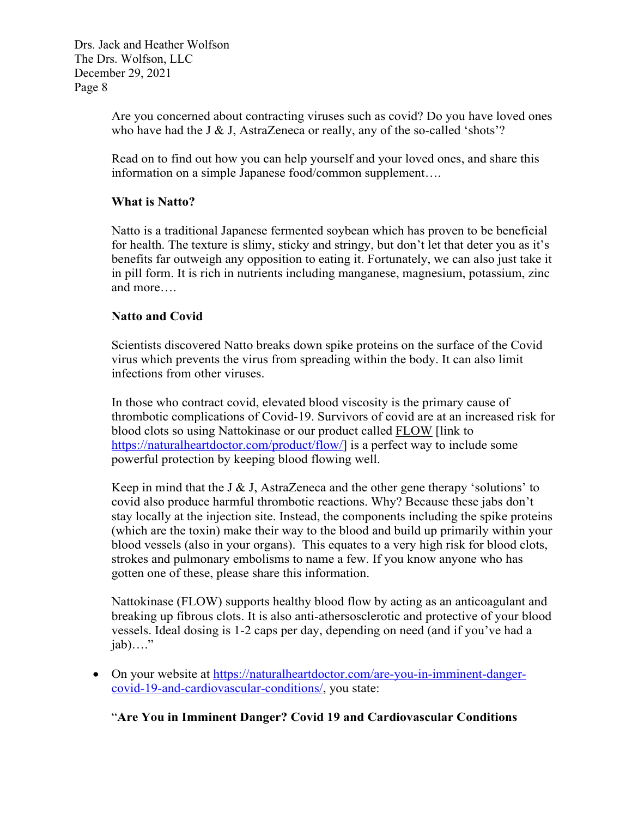> Are you concerned about contracting viruses such as covid? Do you have loved ones who have had the J & J, AstraZeneca or really, any of the so-called 'shots'?

Read on to find out how you can help yourself and your loved ones, and share this information on a simple Japanese food/common supplement….

# **What is Natto?**

Natto is a traditional Japanese fermented soybean which has proven to be beneficial for health. The texture is slimy, sticky and stringy, but don't let that deter you as it's benefits far outweigh any opposition to eating it. Fortunately, we can also just take it in pill form. It is rich in nutrients including manganese, magnesium, potassium, zinc and more….

# **Natto and Covid**

Scientists discovered Natto breaks down spike proteins on the surface of the Covid virus which prevents the virus from spreading within the body. It can also limit infections from other viruses.

In those who contract covid, elevated blood viscosity is the primary cause of thrombotic complications of Covid-19. Survivors of covid are at an increased risk for blood clots so using Nattokinase or our product called FLOW [link to [https://naturalheartdoctor.com/product/flow/\]](https://naturalheartdoctor.com/product/flow/) is a perfect way to include some powerful protection by keeping blood flowing well.

Keep in mind that the J & J, AstraZeneca and the other gene therapy 'solutions' to covid also produce harmful thrombotic reactions. Why? Because these jabs don't stay locally at the injection site. Instead, the components including the spike proteins (which are the toxin) make their way to the blood and build up primarily within your blood vessels (also in your organs). This equates to a very high risk for blood clots, strokes and pulmonary embolisms to name a few. If you know anyone who has gotten one of these, please share this information.

Nattokinase (FLOW) supports healthy blood flow by acting as an anticoagulant and breaking up fibrous clots. It is also anti-athersosclerotic and protective of your blood vessels. Ideal dosing is 1-2 caps per day, depending on need (and if you've had a  $i$ ab)...."

• On your website at [https://naturalheartdoctor.com/are-you-in-imminent-danger](https://naturalheartdoctor.com/are-you-in-imminent-danger-covid-19-and-cardiovascular-conditions/)[covid-19-and-cardiovascular-conditions/,](https://naturalheartdoctor.com/are-you-in-imminent-danger-covid-19-and-cardiovascular-conditions/) you state:

"**Are You in Imminent Danger? Covid 19 and Cardiovascular Conditions**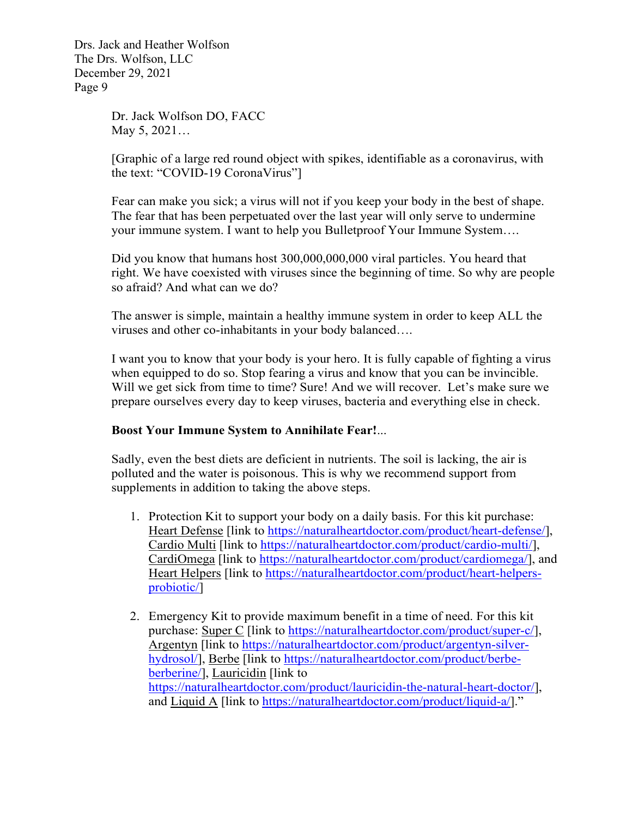> Dr. Jack Wolfson DO, FACC May 5, 2021…

[Graphic of a large red round object with spikes, identifiable as a coronavirus, with the text: "COVID-19 CoronaVirus"]

Fear can make you sick; a virus will not if you keep your body in the best of shape. The fear that has been perpetuated over the last year will only serve to undermine your immune system. I want to help you Bulletproof Your Immune System….

Did you know that humans host 300,000,000,000 viral particles. You heard that right. We have coexisted with viruses since the beginning of time. So why are people so afraid? And what can we do?

The answer is simple, maintain a healthy immune system in order to keep ALL the viruses and other co-inhabitants in your body balanced….

I want you to know that your body is your hero. It is fully capable of fighting a virus when equipped to do so. Stop fearing a virus and know that you can be invincible. Will we get sick from time to time? Sure! And we will recover. Let's make sure we prepare ourselves every day to keep viruses, bacteria and everything else in check.

#### **Boost Your Immune System to Annihilate Fear!**...

Sadly, even the best diets are deficient in nutrients. The soil is lacking, the air is polluted and the water is poisonous. This is why we recommend support from supplements in addition to taking the above steps.

- 1. Protection Kit to support your body on a daily basis. For this kit purchase: Heart Defense [link to [https://naturalheartdoctor.com/product/heart-defense/\]](https://naturalheartdoctor.com/product/heart-defense/), Cardio Multi [link to [https://naturalheartdoctor.com/product/cardio-multi/\]](https://naturalheartdoctor.com/product/cardio-multi/), CardiOmega [link to [https://naturalheartdoctor.com/product/cardiomega/\]](https://naturalheartdoctor.com/product/cardiomega/), and Heart Helpers [link to [https://naturalheartdoctor.com/product/heart-helpers](https://naturalheartdoctor.com/product/heart-helpers-probiotic/)[probiotic/\]](https://naturalheartdoctor.com/product/heart-helpers-probiotic/)
- 2. Emergency Kit to provide maximum benefit in a time of need. For this kit purchase: Super C [link to [https://naturalheartdoctor.com/product/super-c/\]](https://naturalheartdoctor.com/product/super-c/), Argentyn [link to [https://naturalheartdoctor.com/product/argentyn-silver](https://naturalheartdoctor.com/product/argentyn-silver-hydrosol/)[hydrosol/\]](https://naturalheartdoctor.com/product/argentyn-silver-hydrosol/), Berbe [link to [https://naturalheartdoctor.com/product/berbe](https://naturalheartdoctor.com/product/berbe-berberine/)[berberine/\]](https://naturalheartdoctor.com/product/berbe-berberine/), Lauricidin [link to [https://naturalheartdoctor.com/product/lauricidin-the-natural-heart-doctor/\]](https://naturalheartdoctor.com/product/lauricidin-the-natural-heart-doctor/), and Liquid A [link to [https://naturalheartdoctor.com/product/liquid-a/\]](https://naturalheartdoctor.com/product/liquid-a/)."